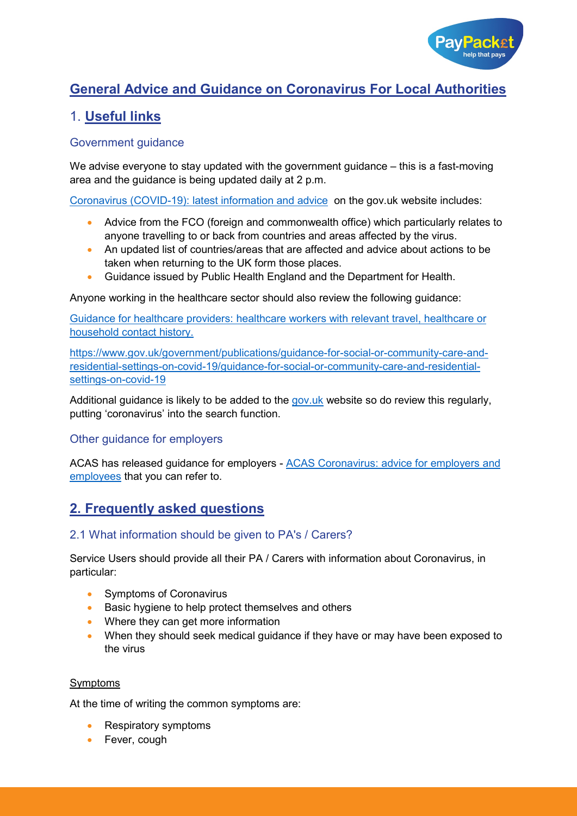

# **General Advice and Guidance on Coronavirus For Local Authorities**

## 1. **Useful links**

## Government guidance

We advise everyone to stay updated with the government guidance – this is a fast-moving area and the guidance is being updated daily at 2 p.m.

[Coronavirus \(COVID-19\): latest information and advice](https://www.gov.uk/guidance/coronavirus-covid-19-information-for-the-public) on the gov.uk website includes:

- Advice from the FCO (foreign and commonwealth office) which particularly relates to anyone travelling to or back from countries and areas affected by the virus.
- An updated list of countries/areas that are affected and advice about actions to be taken when returning to the UK form those places.
- Guidance issued by Public Health England and the Department for Health.

Anyone working in the healthcare sector should also review the following guidance:

[Guidance for healthcare providers: healthcare workers with relevant travel, healthcare or](https://www.gov.uk/government/publications/novel-coronavirus-2019-ncov-guidance-for-healthcare-providers-with-staff-who-have-travelled-to-china/guidance-for-healthcare-providers-healthcare-workers-who-have-travelled-to-china)  [household contact history.](https://www.gov.uk/government/publications/novel-coronavirus-2019-ncov-guidance-for-healthcare-providers-with-staff-who-have-travelled-to-china/guidance-for-healthcare-providers-healthcare-workers-who-have-travelled-to-china)

[https://www.gov.uk/government/publications/guidance-for-social-or-community-care-and](https://www.gov.uk/government/publications/guidance-for-social-or-community-care-and-residential-settings-on-covid-19/guidance-for-social-or-community-care-and-residential-settings-on-covid-19)[residential-settings-on-covid-19/guidance-for-social-or-community-care-and-residential](https://www.gov.uk/government/publications/guidance-for-social-or-community-care-and-residential-settings-on-covid-19/guidance-for-social-or-community-care-and-residential-settings-on-covid-19)[settings-on-covid-19](https://www.gov.uk/government/publications/guidance-for-social-or-community-care-and-residential-settings-on-covid-19/guidance-for-social-or-community-care-and-residential-settings-on-covid-19)

Additional guidance is likely to be added to the [gov.uk](https://www.gov.uk/) website so do review this regularly, putting 'coronavirus' into the search function.

## Other guidance for employers

ACAS has released guidance for employers - [ACAS Coronavirus: advice for employers and](https://www.acas.org.uk/coronavirus)  [employees](https://www.acas.org.uk/coronavirus) that you can refer to.

## **2. Frequently asked questions**

## 2.1 What information should be given to PA's / Carers?

Service Users should provide all their PA / Carers with information about Coronavirus, in particular:

- Symptoms of Coronavirus
- Basic hygiene to help protect themselves and others
- Where they can get more information
- When they should seek medical guidance if they have or may have been exposed to the virus

#### Symptoms

At the time of writing the common symptoms are:

- Respiratory symptoms
- Fever, cough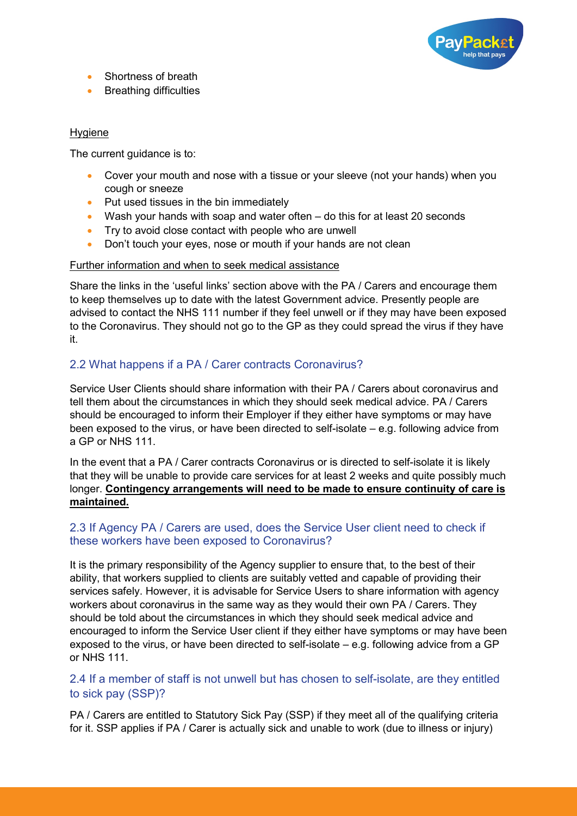

- Shortness of breath
- Breathing difficulties

#### Hygiene

The current guidance is to:

- Cover your mouth and nose with a tissue or your sleeve (not your hands) when you cough or sneeze
- Put used tissues in the bin immediately
- Wash your hands with soap and water often do this for at least 20 seconds
- Try to avoid close contact with people who are unwell
- Don't touch your eyes, nose or mouth if your hands are not clean

#### Further information and when to seek medical assistance

Share the links in the 'useful links' section above with the PA / Carers and encourage them to keep themselves up to date with the latest Government advice. Presently people are advised to contact the NHS 111 number if they feel unwell or if they may have been exposed to the Coronavirus. They should not go to the GP as they could spread the virus if they have it.

## 2.2 What happens if a PA / Carer contracts Coronavirus?

Service User Clients should share information with their PA / Carers about coronavirus and tell them about the circumstances in which they should seek medical advice. PA / Carers should be encouraged to inform their Employer if they either have symptoms or may have been exposed to the virus, or have been directed to self-isolate – e.g. following advice from a GP or NHS 111.

In the event that a PA / Carer contracts Coronavirus or is directed to self-isolate it is likely that they will be unable to provide care services for at least 2 weeks and quite possibly much longer. **Contingency arrangements will need to be made to ensure continuity of care is maintained.**

## 2.3 If Agency PA / Carers are used, does the Service User client need to check if these workers have been exposed to Coronavirus?

It is the primary responsibility of the Agency supplier to ensure that, to the best of their ability, that workers supplied to clients are suitably vetted and capable of providing their services safely. However, it is advisable for Service Users to share information with agency workers about coronavirus in the same way as they would their own PA / Carers. They should be told about the circumstances in which they should seek medical advice and encouraged to inform the Service User client if they either have symptoms or may have been exposed to the virus, or have been directed to self-isolate – e.g. following advice from a GP or NHS 111.

## 2.4 If a member of staff is not unwell but has chosen to self-isolate, are they entitled to sick pay (SSP)?

PA / Carers are entitled to Statutory Sick Pay (SSP) if they meet all of the qualifying criteria for it. SSP applies if PA / Carer is actually sick and unable to work (due to illness or injury)